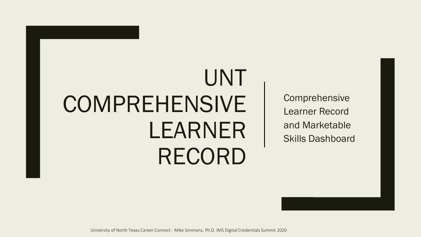# UNT **COMPREHENSIVE** LEARNER RECORD

Comprehensive Learner Record and Marketable Skills Dashboard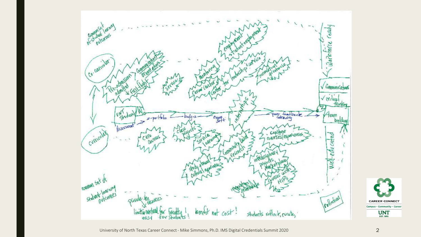

**CAREER CONNECT** Campus · Community · Career

 $UNT<sub>EST. 1890</sub>$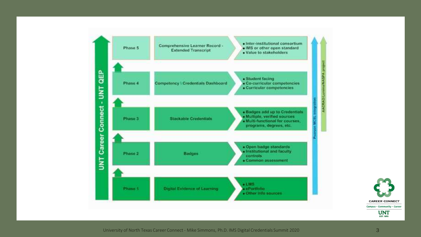

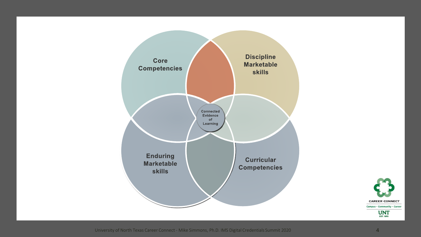

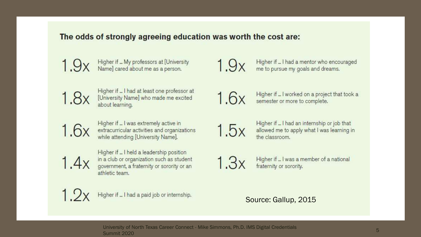### The odds of strongly agreeing education was worth the cost are:

Higher if ... My professors at [University Name] cared about me as a person.  $1.9x$ 

Higher if ... I had at least one professor at 1.8x [University Name] who made me excited about learning.

Higher if ... I was extremely active in 1.6x extracurricular activities and organizations while attending [University Name].

 $1.4x$ 

Higher if ... I held a leadership position in a club or organization such as student government, a fraternity or sorority or an athletic team.

Higher if ... I had a paid job or internship.

 $1.9x$ 

Higher if ... I had a mentor who encouraged me to pursue my goals and dreams.



Higher if ... I worked on a project that took a semester or more to complete.

 $1.5x$ 

Higher if ... I had an internship or job that allowed me to apply what I was learning in the classroom.



Higher if ... I was a member of a national fraternity or sorority.

### Source: Gallup, 2015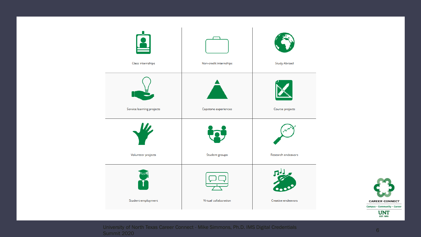

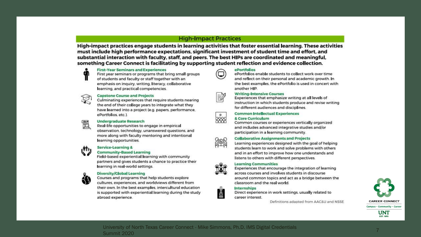#### **High-Impact Practices**

High-impact practices engage students in learning activities that foster essential learning. These activities must include high performance expectations, significant investment of student time and effort, and substantial interaction with faculty, staff, and peers. The best HIPs are coordinated and meaningful, something Career Connect is facilitating by supporting student reflection and evidence collection.



#### **First-Year Seminars and Experiences**

First year seminars or programs that bring small groups of students and faculty or staff together with an emphasis on inquiry, writing, literacy, collaborative learning, and practical competencies.



#### **Capstone Course and Projects**

Culminating experiences that require students nearing the end of their college years to integrate what they have learned into a project (e.g. papers, performance, ePortfolios, etc.).



#### **Undergraduate Research**

Real-life opportunities to engage in empirical observation, technology, unanswered questions, and more along with faculty mentoring and intentional learning opportunities.



#### **Service-Learning &**

#### **Community-Based Learning**

Field-based experiential learning with community partners and gives students a chance to practice their learning in real-world settings.

#### **Diversity/Global Learning**

Courses and programs that help students explore cultures, experiences, and worldviews different from their own. In the best examples, intercultural education is supported with experiential learning during the study abroad experience.



#### ePortfolios

ePortfolios enable students to collect work over time and reflect on their personal and academic growth. In the best examples, the ePortfolio is used in concert with another HIP.



#### **Writing-Intensive Courses**

Experiences that emphasize writing at all levels of instruction in which students produce and revise writing for different audiences and disciplines.



#### **Common Intellectual Experiences**

#### & Core Curriculum



Common courses or experiences vertically organized and includes advanced integrative studies and/or participation in a learning community.

#### **Collaborative Assignments and Projects**

Learning experiences designed with the goal of helping students learn to work and solve problems with others and in an effort to improve how one understands and listens to others with different perspectives.

#### **Learning Communities**



é

Experiences that encourage the integration of learning across courses and involves students in discourse around common topics and act as a bridge between the classroom and the real world.

#### **Internships**

Direct experience in work settings, usually related to career interest.

Definitions adapted from AAC&U and NSSE



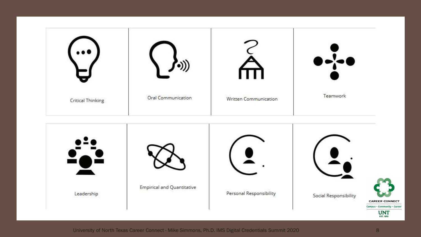

Leadership

University of North Texas Career Connect - Mike Simmons, Ph.D. IMS Digital Credentials Summit 2020 8

**CAREER CONNECT** Campus · Community · Career  $UNT<sub>EST. 1890</sub>$ 

Social Responsibility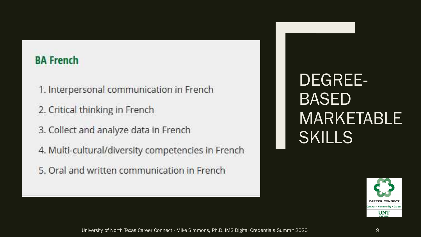## **BA French**

- 1. Interpersonal communication in French
- 2. Critical thinking in French
- 3. Collect and analyze data in French
- 4. Multi-cultural/diversity competencies in French
- 5. Oral and written communication in French

DEGREE-BASED MARKETABLE SKILLS

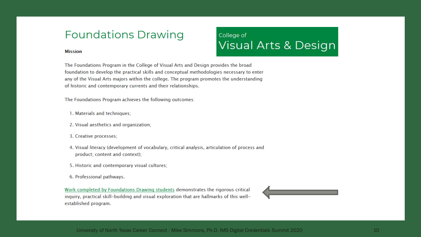## **Foundations Drawing**

#### **Mission**

The Foundations Program in the College of Visual Arts and Design provides the broad foundation to develop the practical skills and conceptual methodologies necessary to enter any of the Visual Arts majors within the college. The program promotes the understanding of historic and contemporary currents and their relationships.

College of

**Visual Arts & Design** 

The Foundations Program achieves the following outcomes:

- 1. Materials and techniques;
- 2. Visual aesthetics and organization;
- 3. Creative processes;
- 4. Visual literacy (development of vocabulary, critical analysis, articulation of process and product; content and context);
- 5. Historic and contemporary visual cultures;
- 6. Professional pathways.

Work completed by Foundations Drawing students demonstrates the rigorous critical inquiry, practical skill-building and visual exploration that are hallmarks of this wellestablished program.

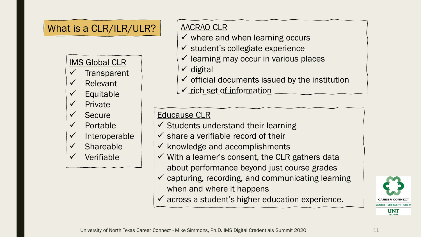## What is a CLR/ILR/ULR?

### IMS Global CLR

- **Transparent**
- **Relevant**
- **Equitable**
- **Private**
- **Secure**
- **Portable**
- **Interoperable**
- **Shareable**
- **Verifiable**

## AACRAO CLR

- $\checkmark$  where and when learning occurs
- $\checkmark$  student's collegiate experience
- $\checkmark$  learning may occur in various places
- ✓ digital
- $\checkmark$  official documents issued by the institution
- ✓ rich set of information

## Educause CLR

- $\checkmark$  Students understand their learning
- $\checkmark$  share a verifiable record of their
- $\checkmark$  knowledge and accomplishments
- $\checkmark$  With a learner's consent, the CLR gathers data about performance beyond just course grades
- $\checkmark$  capturing, recording, and communicating learning when and where it happens
- $\checkmark$  across a student's higher education experience.

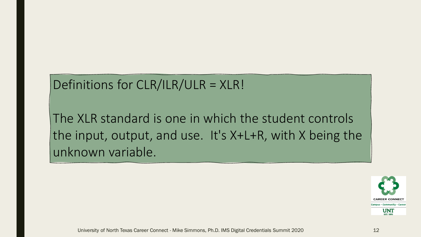## Definitions for CLR/ILR/ULR = XLR!

The XLR standard is one in which the student controls the input, output, and use. It's X+L+R, with X being the unknown variable.

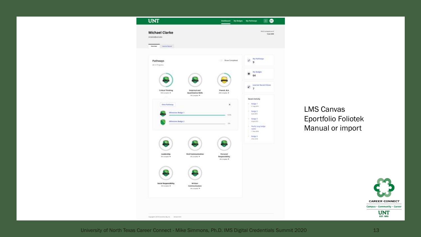

LMS Canvas Eportfolio Foliotek Manual or import

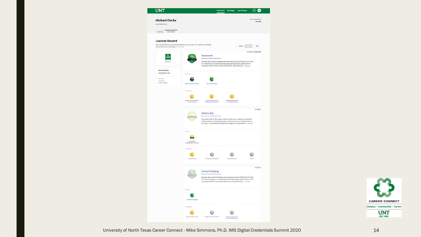| <b>UNT</b>                                                             | ⊕<br>My Badges My Pathways<br><b>Dashboard</b>                                                                                                                                                                                                                                                                                         |
|------------------------------------------------------------------------|----------------------------------------------------------------------------------------------------------------------------------------------------------------------------------------------------------------------------------------------------------------------------------------------------------------------------------------|
| <b>Michael Clarke</b><br>mdarke@um.edu                                 | Winningerousl<br>13 Jan 2020                                                                                                                                                                                                                                                                                                           |
| <b>Uyerview</b><br><b>CASTORY RECOTE</b><br>x<br><b>Learner Record</b> | Your Learner Record is a list of achievements you can share. You can edit it to display<br>Public          <br>Edit                                                                                                                                                                                                                    |
| selected Pathways and Badges, Learn More<br>IM                         | Constitution 19 May 2019<br>Teamwork<br><b>Offic</b><br>of by presently of North Texas<br>Students who earned this bedge were evaluated using the AAC&U VALUE rubric<br>for Teamwork in an experience integrating two high-impact practices at the<br>University of North Texas. Criteria include their contributions to  The Hert     |
| Michael Clarke<br>melankn@unt.onlu<br><b>Marwers</b><br>freest, 6.4.   |                                                                                                                                                                                                                                                                                                                                        |
| <b>Entries The-Airing</b>                                              | tis<br>chal ki<br>d falsene Si<br>$n$ (c)<br>$d$ asta 1<br><b>Giranna</b><br>of Attitudes in Haskin Card<br>e Fuito                                                                                                                                                                                                                    |
|                                                                        | <b>NYSEROSE</b><br>French, B.A.<br>nd by Everesty of North Town<br>Marketable skills for this degree include interpersonal, cognitive, and applied<br>skill areas that are valued by employers and are primary or complementary to<br>the major. The marketable skills goal was designed to help students  two wave                    |
|                                                                        | Œ<br><b>Builded Writing</b><br>In Cass Draf Participation<br><b>Cyal Presidential</b><br><b>Deka</b>                                                                                                                                                                                                                                   |
|                                                                        | schippen<br><b>Critical Thinking</b><br>on the announced of them it from<br><b>Give</b><br>Students who earned this badge were evaluated using the AAC&U VALUE rubinc<br>for Critical Thinking in an experience that included a high-impact practice at the University of North Texas. Criticia that were evaluated include a two ware |
|                                                                        | <b>Trentful Enautotor</b>                                                                                                                                                                                                                                                                                                              |
|                                                                        | Primaria deliver<br><b>Liegachie Ringvort Glorian</b><br>College of Madd effectiving<br><b>Brighton Ave</b><br><b>Case Study Assistance</b>                                                                                                                                                                                            |

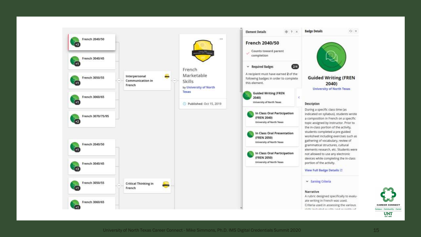

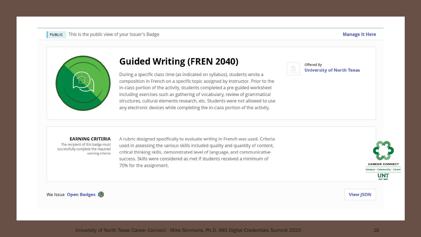#### **Manage It Here**



## **Guided Writing (FREN 2040)**

During a specific class time (as indicated on syllabus), students wrote a composition in French on a specific topic assigned by instructor. Prior to the in-class portion of the activity, students completed a pre-guided worksheet including exercises such as gathering of vocabulary, review of grammatical structures, cultural elements research, etc. Students were not allowed to use any electronic devices while completing the in-class portion of the activity.



#### **EARNING CRITERIA**

The recipient of this badge must successfully complete the required earning criteria A rubric designed specifically to evaluate writing in French was used. Criteria used in assessing the various skills included quality and quantity of content, critical thinking skills, demonstrated level of language, and communicative success. Skills were considered as met if students received a minimum of 70% for the assignment.



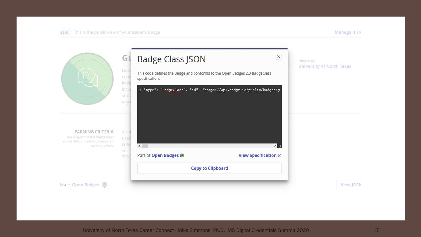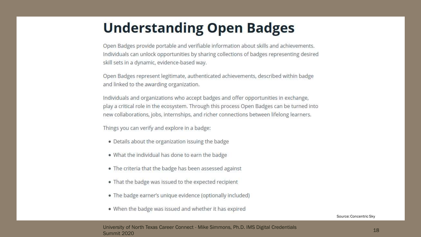## **Understanding Open Badges**

Open Badges provide portable and verifiable information about skills and achievements. Individuals can unlock opportunities by sharing collections of badges representing desired skill sets in a dynamic, evidence-based way.

Open Badges represent legitimate, authenticated achievements, described within badge and linked to the awarding organization.

Individuals and organizations who accept badges and offer opportunities in exchange, play a critical role in the ecosystem. Through this process Open Badges can be turned into new collaborations, jobs, internships, and richer connections between lifelong learners.

Things you can verify and explore in a badge:

- Details about the organization issuing the badge
- . What the individual has done to earn the badge
- . The criteria that the badge has been assessed against
- . That the badge was issued to the expected recipient
- . The badge earner's unique evidence (optionally included)
- . When the badge was issued and whether it has expired

Source: Concentric Sky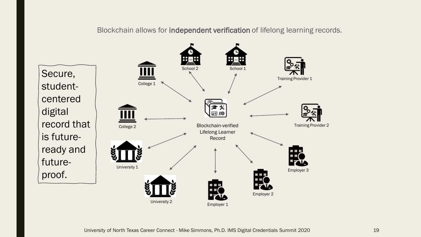Blockchain allows for independent verification of lifelong learning records.

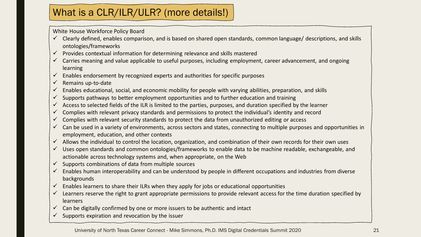## What is a CLR/ILR/ULR? (more details!)

White House Workforce Policy Board

- $\checkmark$  Clearly defined, enables comparison, and is based on shared open standards, common language/ descriptions, and skills ontologies/frameworks
- $\checkmark$  Provides contextual information for determining relevance and skills mastered
- $\checkmark$  Carries meaning and value applicable to useful purposes, including employment, career advancement, and ongoing learning
- $\checkmark$  Enables endorsement by recognized experts and authorities for specific purposes
- $\checkmark$  Remains up-to-date
- Enables educational, social, and economic mobility for people with varying abilities, preparation, and skills
- $\checkmark$  Supports pathways to better employment opportunities and to further education and training
- $\checkmark$  Access to selected fields of the ILR is limited to the parties, purposes, and duration specified by the learner
- $\checkmark$  Complies with relevant privacy standards and permissions to protect the individual's identity and record
- $\checkmark$  Complies with relevant security standards to protect the data from unauthorized editing or access
- $\checkmark$  Can be used in a variety of environments, across sectors and states, connecting to multiple purposes and opportunities in employment, education, and other contexts
- $\checkmark$  Allows the individual to control the location, organization, and combination of their own records for their own uses
- ✓ Uses open standards and common ontologies/frameworks to enable data to be machine readable, exchangeable, and actionable across technology systems and, when appropriate, on the Web
- $\checkmark$  Supports combinations of data from multiple sources
- $\checkmark$  Enables human interoperability and can be understood by people in different occupations and industries from diverse backgrounds
- $\checkmark$  Enables learners to share their ILRs when they apply for jobs or educational opportunities
- $\checkmark$  Learners reserve the right to grant appropriate permissions to provide relevant access for the time duration specified by learners
- $\checkmark$  Can be digitally confirmed by one or more issuers to be authentic and intact
- $\checkmark$  Supports expiration and revocation by the issuer